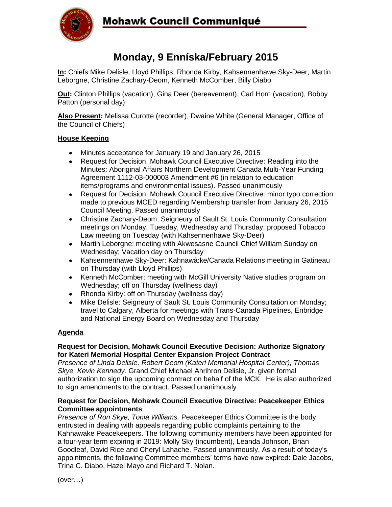

# **Monday, 9 Enníska/February 2015**

**In:** Chiefs Mike Delisle, Lloyd Phillips, Rhonda Kirby, Kahsennenhawe Sky-Deer, Martin Leborgne, Christine Zachary-Deom, Kenneth McComber, Billy Diabo

**Out:** Clinton Phillips (vacation), Gina Deer (bereavement), Carl Horn (vacation), Bobby Patton (personal day)

**Also Present:** Melissa Curotte (recorder), Dwaine White (General Manager, Office of the Council of Chiefs)

### **House Keeping**

- Minutes acceptance for January 19 and January 26, 2015
- Request for Decision, Mohawk Council Executive Directive: Reading into the Minutes: Aboriginal Affairs Northern Development Canada Multi-Year Funding Agreement 1112-03-000003 Amendment #6 (in relation to education items/programs and environmental issues). Passed unanimously
- Request for Decision, Mohawk Council Executive Directive: minor typo correction made to previous MCED regarding Membership transfer from January 26, 2015 Council Meeting. Passed unanimously
- Christine Zachary-Deom: Seigneury of Sault St. Louis Community Consultation meetings on Monday, Tuesday, Wednesday and Thursday; proposed Tobacco Law meeting on Tuesday (with Kahsennenhawe Sky-Deer)
- Martin Leborgne: meeting with Akwesasne Council Chief William Sunday on Wednesday; Vacation day on Thursday
- Kahsennenhawe Sky-Deer: Kahnawà:ke/Canada Relations meeting in Gatineau on Thursday (with Lloyd Phillips)
- Kenneth McComber: meeting with McGill University Native studies program on Wednesday; off on Thursday (wellness day)
- Rhonda Kirby: off on Thursday (wellness day)
- Mike Delisle: Seigneury of Sault St. Louis Community Consultation on Monday; travel to Calgary, Alberta for meetings with Trans-Canada Pipelines, Enbridge and National Energy Board on Wednesday and Thursday

### **Agenda**

### **Request for Decision, Mohawk Council Executive Decision: Authorize Signatory for Kateri Memorial Hospital Center Expansion Project Contract**

*Presence of Linda Delisle, Robert Deom (Kateri Memorial Hospital Center), Thomas Skye, Kevin Kennedy.* Grand Chief Michael Ahrihron Delisle, Jr. given formal authorization to sign the upcoming contract on behalf of the MCK. He is also authorized to sign amendments to the contract. Passed unanimously

#### **Request for Decision, Mohawk Council Executive Directive: Peacekeeper Ethics Committee appointments**

*Presence of Ron Skye, Tonia Williams.* Peacekeeper Ethics Committee is the body entrusted in dealing with appeals regarding public complaints pertaining to the Kahnawake Peacekeepers. The following community members have been appointed for a four-year term expiring in 2019: Molly Sky (incumbent), Leanda Johnson, Brian Goodleaf, David Rice and Cheryl Lahache. Passed unanimously. As a result of today's appointments, the following Committee members' terms have now expired: Dale Jacobs, Trina C. Diabo, Hazel Mayo and Richard T. Nolan.